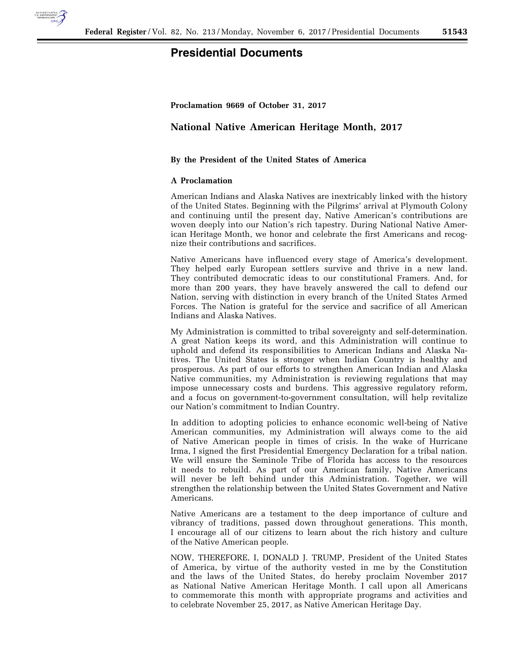

## **Presidential Documents**

**Proclamation 9669 of October 31, 2017** 

## **National Native American Heritage Month, 2017**

## **By the President of the United States of America**

## **A Proclamation**

American Indians and Alaska Natives are inextricably linked with the history of the United States. Beginning with the Pilgrims' arrival at Plymouth Colony and continuing until the present day, Native American's contributions are woven deeply into our Nation's rich tapestry. During National Native American Heritage Month, we honor and celebrate the first Americans and recognize their contributions and sacrifices.

Native Americans have influenced every stage of America's development. They helped early European settlers survive and thrive in a new land. They contributed democratic ideas to our constitutional Framers. And, for more than 200 years, they have bravely answered the call to defend our Nation, serving with distinction in every branch of the United States Armed Forces. The Nation is grateful for the service and sacrifice of all American Indians and Alaska Natives.

My Administration is committed to tribal sovereignty and self-determination. A great Nation keeps its word, and this Administration will continue to uphold and defend its responsibilities to American Indians and Alaska Natives. The United States is stronger when Indian Country is healthy and prosperous. As part of our efforts to strengthen American Indian and Alaska Native communities, my Administration is reviewing regulations that may impose unnecessary costs and burdens. This aggressive regulatory reform, and a focus on government-to-government consultation, will help revitalize our Nation's commitment to Indian Country.

In addition to adopting policies to enhance economic well-being of Native American communities, my Administration will always come to the aid of Native American people in times of crisis. In the wake of Hurricane Irma, I signed the first Presidential Emergency Declaration for a tribal nation. We will ensure the Seminole Tribe of Florida has access to the resources it needs to rebuild. As part of our American family, Native Americans will never be left behind under this Administration. Together, we will strengthen the relationship between the United States Government and Native Americans.

Native Americans are a testament to the deep importance of culture and vibrancy of traditions, passed down throughout generations. This month, I encourage all of our citizens to learn about the rich history and culture of the Native American people.

NOW, THEREFORE, I, DONALD J. TRUMP, President of the United States of America, by virtue of the authority vested in me by the Constitution and the laws of the United States, do hereby proclaim November 2017 as National Native American Heritage Month. I call upon all Americans to commemorate this month with appropriate programs and activities and to celebrate November 25, 2017, as Native American Heritage Day.